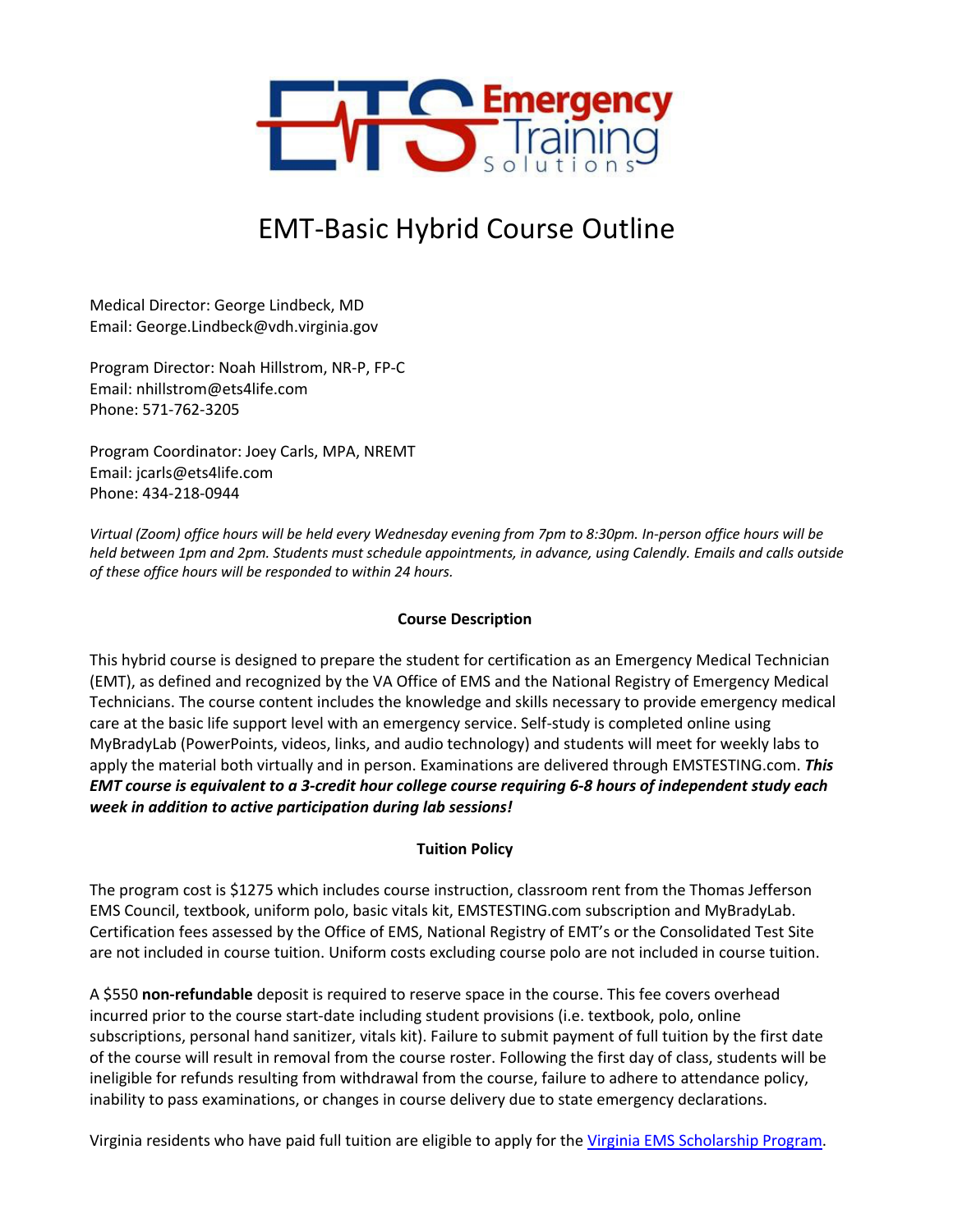

# EMT-Basic Hybrid Course Outline

Medical Director: George Lindbeck, MD Email: George.Lindbeck@vdh.virginia.gov

Program Director: Noah Hillstrom, NR-P, FP-C Email: nhillstrom@ets4life.com Phone: 571-762-3205

Program Coordinator: Joey Carls, MPA, NREMT Email: jcarls@ets4life.com Phone: 434-218-0944

*Virtual (Zoom) office hours will be held every Wednesday evening from 7pm to 8:30pm. In-person office hours will be held between 1pm and 2pm. Students must schedule appointments, in advance, using Calendly. Emails and calls outside of these office hours will be responded to within 24 hours.* 

#### **Course Description**

This hybrid course is designed to prepare the student for certification as an Emergency Medical Technician (EMT), as defined and recognized by the VA Office of EMS and the National Registry of Emergency Medical Technicians. The course content includes the knowledge and skills necessary to provide emergency medical care at the basic life support level with an emergency service. Self-study is completed online using MyBradyLab (PowerPoints, videos, links, and audio technology) and students will meet for weekly labs to apply the material both virtually and in person. Examinations are delivered through EMSTESTING.com. *This EMT course is equivalent to a 3-credit hour college course requiring 6-8 hours of independent study each week in addition to active participation during lab sessions!*

#### **Tuition Policy**

The program cost is \$1275 which includes course instruction, classroom rent from the Thomas Jefferson EMS Council, textbook, uniform polo, basic vitals kit, EMSTESTING.com subscription and MyBradyLab. Certification fees assessed by the Office of EMS, National Registry of EMT's or the Consolidated Test Site are not included in course tuition. Uniform costs excluding course polo are not included in course tuition.

A \$550 **non-refundable** deposit is required to reserve space in the course. This fee covers overhead incurred prior to the course start-date including student provisions (i.e. textbook, polo, online subscriptions, personal hand sanitizer, vitals kit). Failure to submit payment of full tuition by the first date of the course will result in removal from the course roster. Following the first day of class, students will be ineligible for refunds resulting from withdrawal from the course, failure to adhere to attendance policy, inability to pass examinations, or changes in course delivery due to state emergency declarations.

Virginia residents who have paid full tuition are eligible to apply for the Virginia EMS Scholarship Program.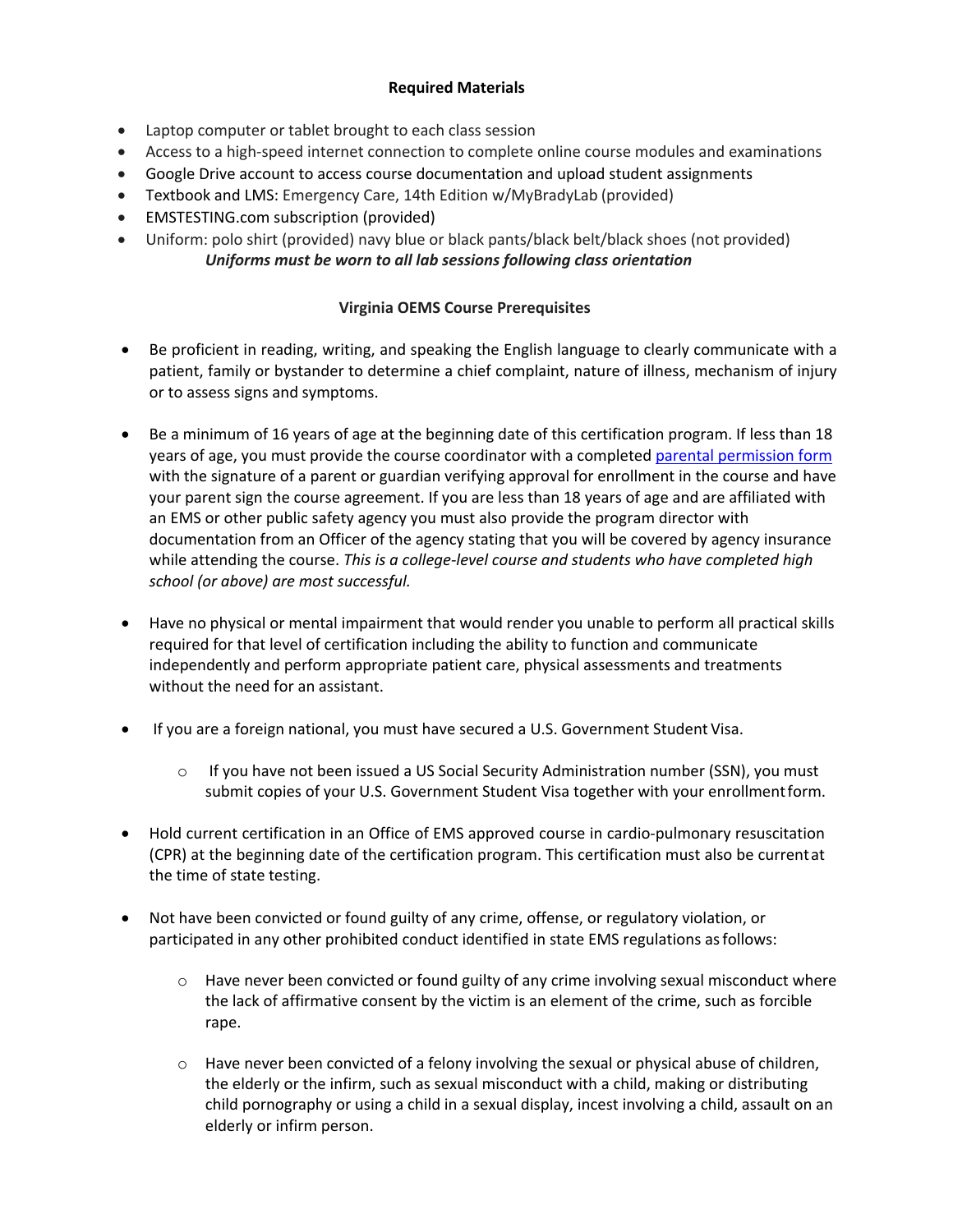### **Required Materials**

- Laptop computer or tablet brought to each class session
- Access to a high-speed internet connection to complete online course modules and examinations
- Google Drive account to access course documentation and upload student assignments
- Textbook and LMS: Emergency Care, 14th Edition w/MyBradyLab (provided)
- EMSTESTING.com subscription (provided)
- Uniform: polo shirt (provided) navy blue or black pants/black belt/black shoes (not provided) *Uniforms must be worn to all lab sessions following class orientation*

## **Virginia OEMS Course Prerequisites**

- Be proficient in reading, writing, and speaking the English language to clearly communicate with a patient, family or bystander to determine a chief complaint, nature of illness, mechanism of injury or to assess signs and symptoms.
- Be a minimum of 16 years of age at the beginning date of this certification program. If less than 18 years of age, you must provide the course coordinator with a completed parental permission form with the signature of a parent or guardian verifying approval for enrollment in the course and have your parent sign the course agreement. If you are less than 18 years of age and are affiliated with an EMS or other public safety agency you must also provide the program director with documentation from an Officer of the agency stating that you will be covered by agency insurance while attending the course. *This is a college-level course and students who have completed high school (or above) are most successful.*
- Have no physical or mental impairment that would render you unable to perform all practical skills required for that level of certification including the ability to function and communicate independently and perform appropriate patient care, physical assessments and treatments without the need for an assistant.
- If you are a foreign national, you must have secured a U.S. Government Student Visa.
	- o If you have not been issued a US Social Security Administration number (SSN), you must submit copies of your U.S. Government Student Visa together with your enrollmentform.
- Hold current certification in an Office of EMS approved course in cardio-pulmonary resuscitation (CPR) at the beginning date of the certification program. This certification must also be currentat the time of state testing.
- Not have been convicted or found guilty of any crime, offense, or regulatory violation, or participated in any other prohibited conduct identified in state EMS regulations asfollows:
	- $\circ$  Have never been convicted or found guilty of any crime involving sexual misconduct where the lack of affirmative consent by the victim is an element of the crime, such as forcible rape.
	- $\circ$  Have never been convicted of a felony involving the sexual or physical abuse of children, the elderly or the infirm, such as sexual misconduct with a child, making or distributing child pornography or using a child in a sexual display, incest involving a child, assault on an elderly or infirm person.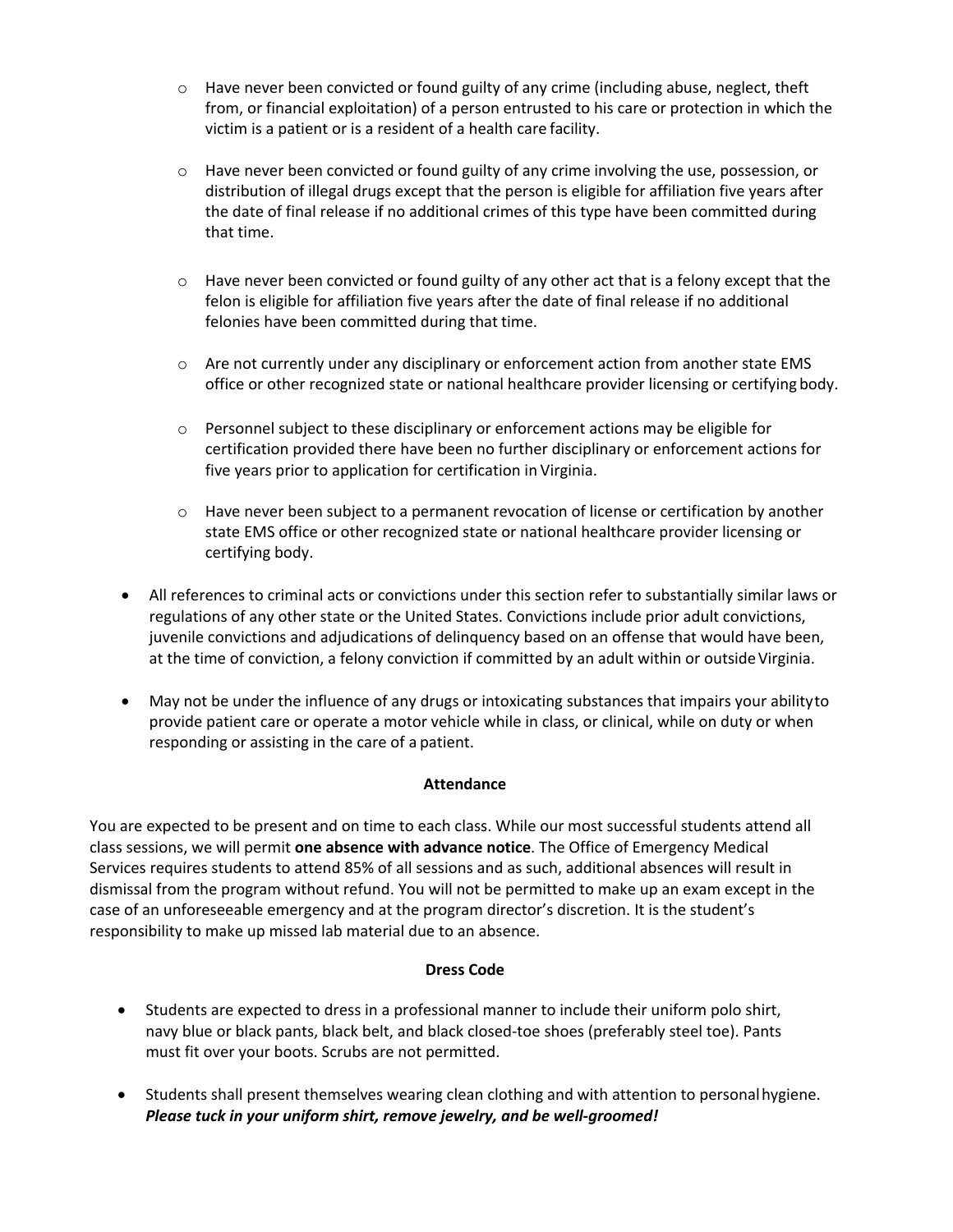- $\circ$  Have never been convicted or found guilty of any crime (including abuse, neglect, theft from, or financial exploitation) of a person entrusted to his care or protection in which the victim is a patient or is a resident of a health care facility.
- o Have never been convicted or found guilty of any crime involving the use, possession, or distribution of illegal drugs except that the person is eligible for affiliation five years after the date of final release if no additional crimes of this type have been committed during that time.
- $\circ$  Have never been convicted or found guilty of any other act that is a felony except that the felon is eligible for affiliation five years after the date of final release if no additional felonies have been committed during that time.
- o Are not currently under any disciplinary or enforcement action from another state EMS office or other recognized state or national healthcare provider licensing or certifying body.
- o Personnel subject to these disciplinary or enforcement actions may be eligible for certification provided there have been no further disciplinary or enforcement actions for five years prior to application for certification in Virginia.
- o Have never been subject to a permanent revocation of license or certification by another state EMS office or other recognized state or national healthcare provider licensing or certifying body.
- All references to criminal acts or convictions under this section refer to substantially similar laws or regulations of any other state or the United States. Convictions include prior adult convictions, juvenile convictions and adjudications of delinquency based on an offense that would have been, at the time of conviction, a felony conviction if committed by an adult within or outside Virginia.
- May not be under the influence of any drugs or intoxicating substances that impairs your abilityto provide patient care or operate a motor vehicle while in class, or clinical, while on duty or when responding or assisting in the care of a patient.

#### **Attendance**

You are expected to be present and on time to each class. While our most successful students attend all class sessions, we will permit **one absence with advance notice**. The Office of Emergency Medical Services requires students to attend 85% of all sessions and as such, additional absences will result in dismissal from the program without refund. You will not be permitted to make up an exam except in the case of an unforeseeable emergency and at the program director's discretion. It is the student's responsibility to make up missed lab material due to an absence.

#### **Dress Code**

- Students are expected to dress in a professional manner to include their uniform polo shirt, navy blue or black pants, black belt, and black closed-toe shoes (preferably steel toe). Pants must fit over your boots. Scrubs are not permitted.
- Students shall present themselves wearing clean clothing and with attention to personalhygiene. *Please tuck in your uniform shirt, remove jewelry, and be well-groomed!*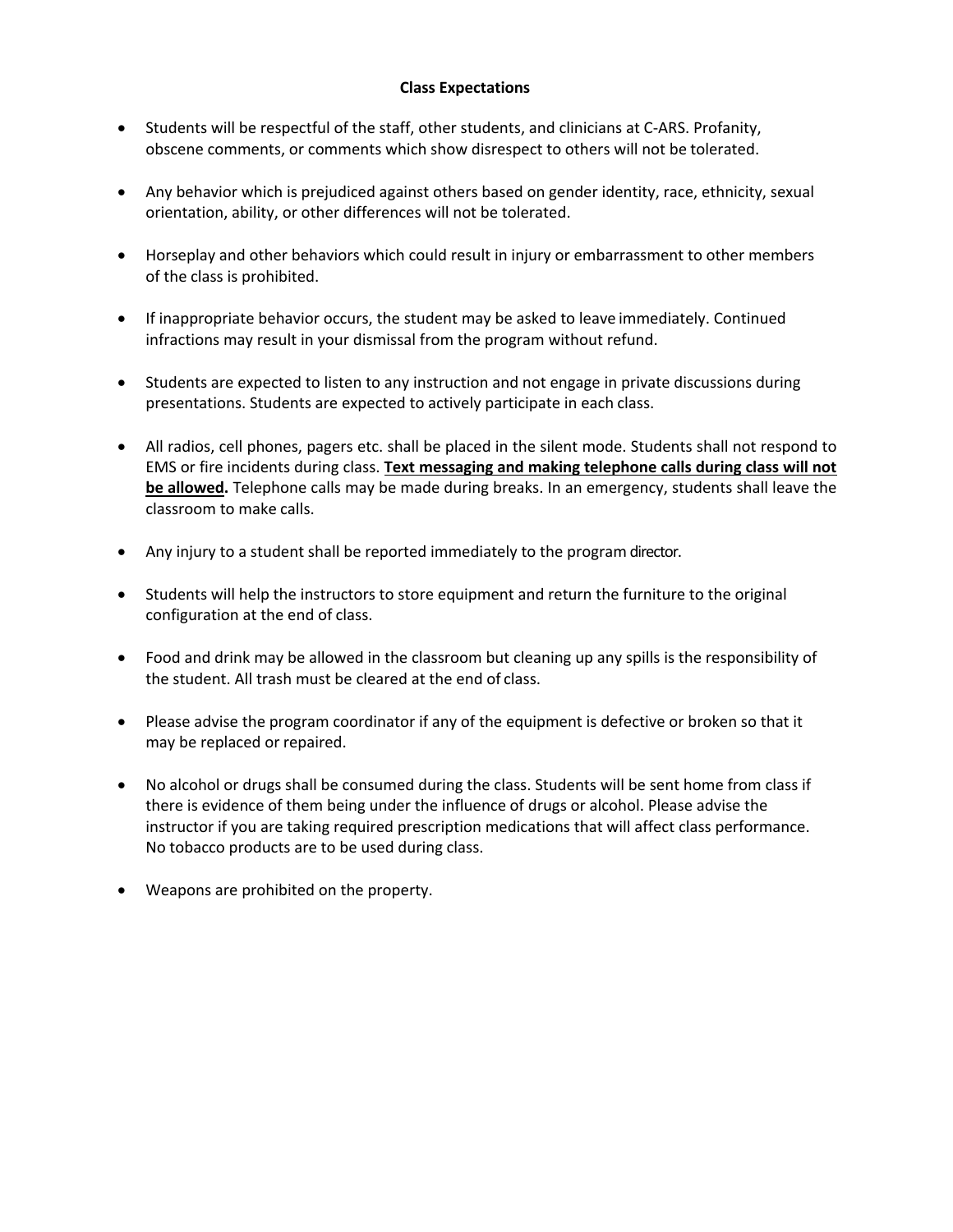#### **Class Expectations**

- Students will be respectful of the staff, other students, and clinicians at C-ARS. Profanity, obscene comments, or comments which show disrespect to others will not be tolerated.
- Any behavior which is prejudiced against others based on gender identity, race, ethnicity, sexual orientation, ability, or other differences will not be tolerated.
- Horseplay and other behaviors which could result in injury or embarrassment to other members of the class is prohibited.
- If inappropriate behavior occurs, the student may be asked to leave immediately. Continued infractions may result in your dismissal from the program without refund.
- Students are expected to listen to any instruction and not engage in private discussions during presentations. Students are expected to actively participate in each class.
- All radios, cell phones, pagers etc. shall be placed in the silent mode. Students shall not respond to EMS or fire incidents during class. **Text messaging and making telephone calls during class will not be allowed.** Telephone calls may be made during breaks. In an emergency, students shall leave the classroom to make calls.
- Any injury to a student shall be reported immediately to the program director.
- Students will help the instructors to store equipment and return the furniture to the original configuration at the end of class.
- Food and drink may be allowed in the classroom but cleaning up any spills is the responsibility of the student. All trash must be cleared at the end of class.
- Please advise the program coordinator if any of the equipment is defective or broken so that it may be replaced or repaired.
- No alcohol or drugs shall be consumed during the class. Students will be sent home from class if there is evidence of them being under the influence of drugs or alcohol. Please advise the instructor if you are taking required prescription medications that will affect class performance. No tobacco products are to be used during class.
- Weapons are prohibited on the property.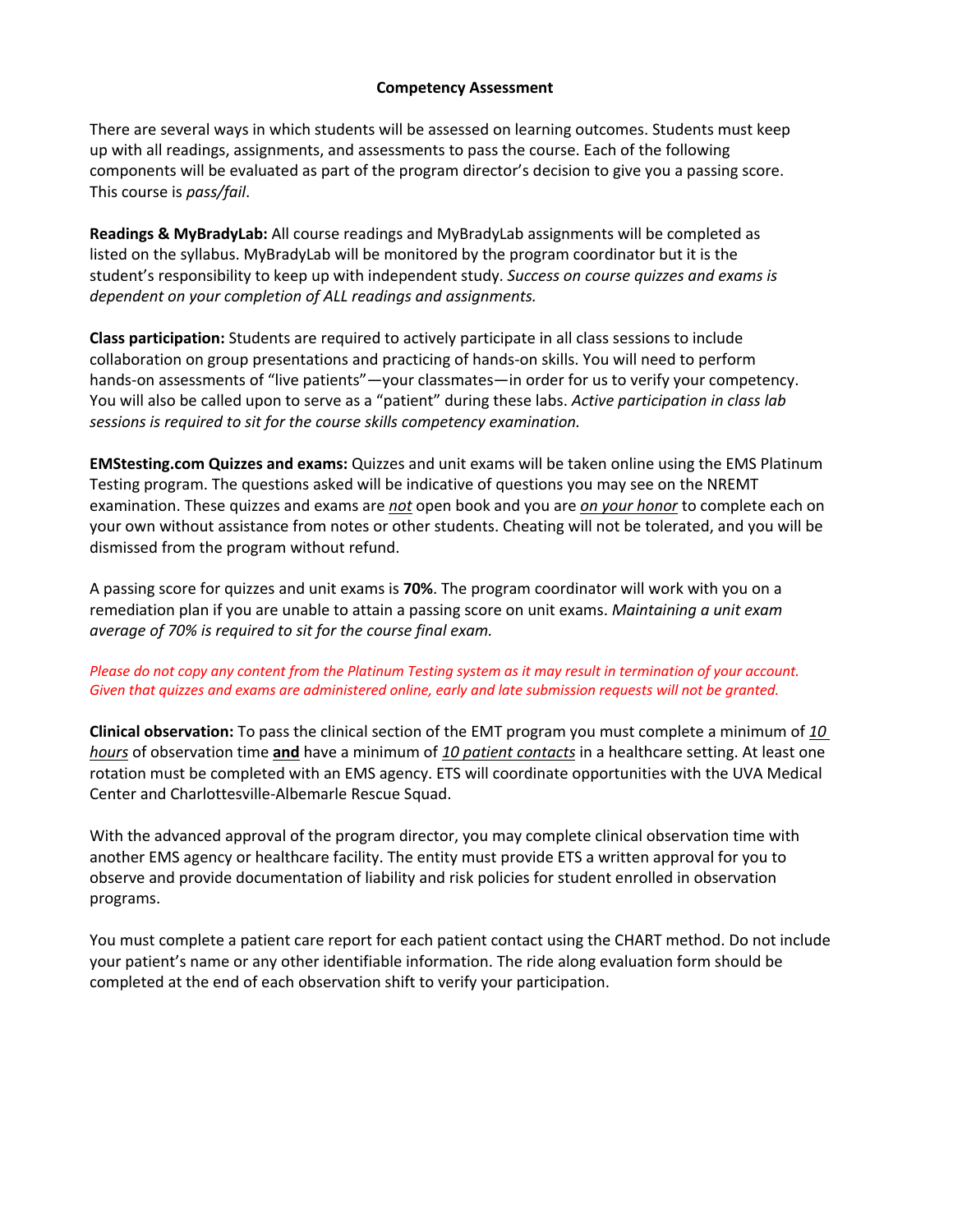#### **Competency Assessment**

There are several ways in which students will be assessed on learning outcomes. Students must keep up with all readings, assignments, and assessments to pass the course. Each of the following components will be evaluated as part of the program director's decision to give you a passing score. This course is *pass/fail*.

**Readings & MyBradyLab:** All course readings and MyBradyLab assignments will be completed as listed on the syllabus. MyBradyLab will be monitored by the program coordinator but it is the student's responsibility to keep up with independent study. *Success on course quizzes and exams is dependent on your completion of ALL readings and assignments.* 

**Class participation:** Students are required to actively participate in all class sessions to include collaboration on group presentations and practicing of hands-on skills. You will need to perform hands-on assessments of "live patients"—your classmates—in order for us to verify your competency. You will also be called upon to serve as a "patient" during these labs. *Active participation in class lab sessions is required to sit for the course skills competency examination.*

**EMStesting.com Quizzes and exams:** Quizzes and unit exams will be taken online using the EMS Platinum Testing program. The questions asked will be indicative of questions you may see on the NREMT examination. These quizzes and exams are *not* open book and you are *on your honor* to complete each on your own without assistance from notes or other students. Cheating will not be tolerated, and you will be dismissed from the program without refund.

A passing score for quizzes and unit exams is **70%**. The program coordinator will work with you on a remediation plan if you are unable to attain a passing score on unit exams. *Maintaining a unit exam average of 70% is required to sit for the course final exam.* 

#### *Please do not copy any content from the Platinum Testing system as it may result in termination of your account. Given that quizzes and exams are administered online, early and late submission requests will not be granted.*

**Clinical observation:** To pass the clinical section of the EMT program you must complete a minimum of *10 hours* of observation time **and** have a minimum of *10 patient contacts* in a healthcare setting. At least one rotation must be completed with an EMS agency. ETS will coordinate opportunities with the UVA Medical Center and Charlottesville-Albemarle Rescue Squad.

With the advanced approval of the program director, you may complete clinical observation time with another EMS agency or healthcare facility. The entity must provide ETS a written approval for you to observe and provide documentation of liability and risk policies for student enrolled in observation programs.

You must complete a patient care report for each patient contact using the CHART method. Do not include your patient's name or any other identifiable information. The ride along evaluation form should be completed at the end of each observation shift to verify your participation.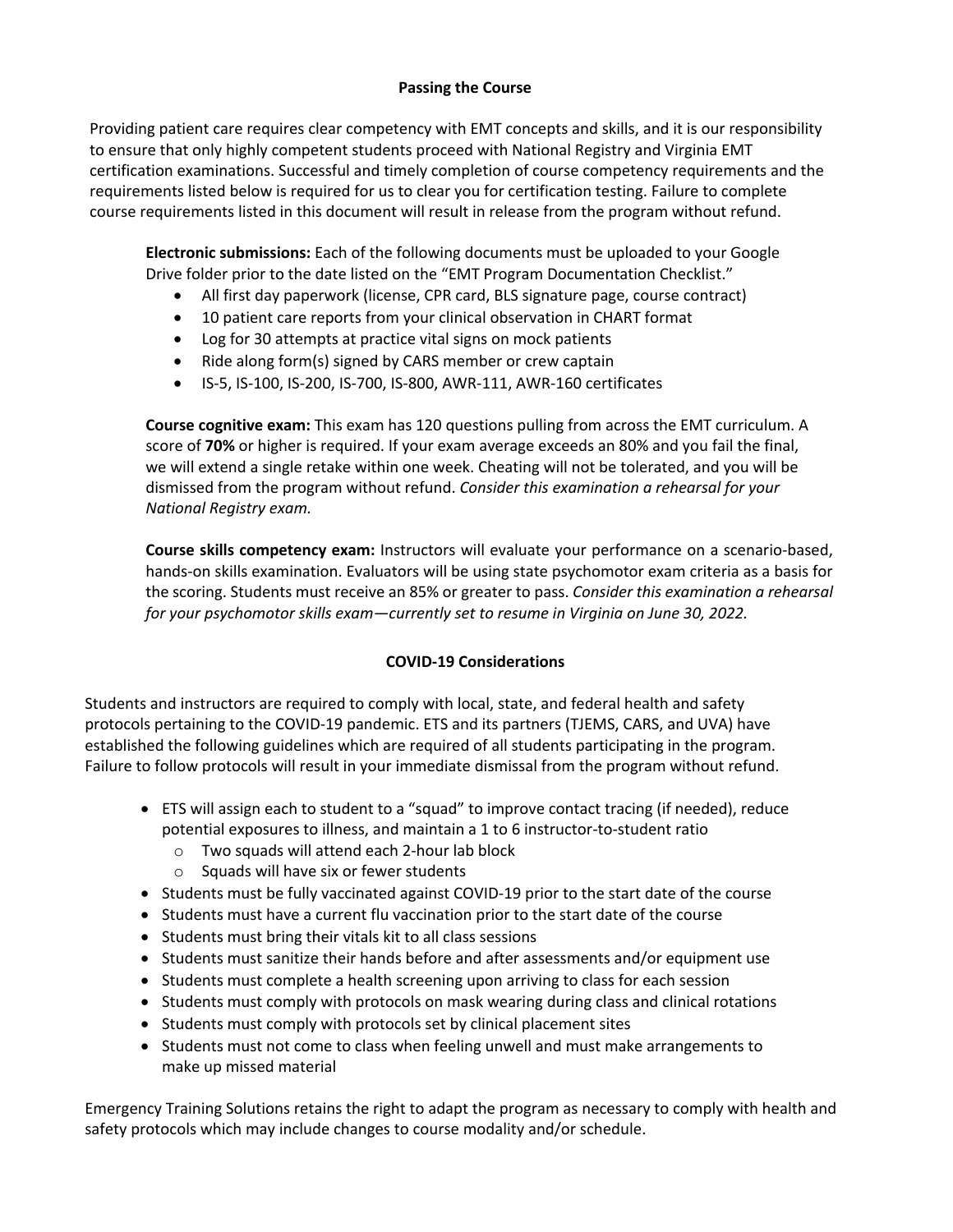### **Passing the Course**

Providing patient care requires clear competency with EMT concepts and skills, and it is our responsibility to ensure that only highly competent students proceed with National Registry and Virginia EMT certification examinations. Successful and timely completion of course competency requirements and the requirements listed below is required for us to clear you for certification testing. Failure to complete course requirements listed in this document will result in release from the program without refund.

**Electronic submissions:** Each of the following documents must be uploaded to your Google Drive folder prior to the date listed on the "EMT Program Documentation Checklist."

- All first day paperwork (license, CPR card, BLS signature page, course contract)
- 10 patient care reports from your clinical observation in CHART format
- Log for 30 attempts at practice vital signs on mock patients
- Ride along form(s) signed by CARS member or crew captain
- IS-5, IS-100, IS-200, IS-700, IS-800, AWR-111, AWR-160 certificates

**Course cognitive exam:** This exam has 120 questions pulling from across the EMT curriculum. A score of **70%** or higher is required. If your exam average exceeds an 80% and you fail the final, we will extend a single retake within one week. Cheating will not be tolerated, and you will be dismissed from the program without refund. *Consider this examination a rehearsal for your National Registry exam.* 

**Course skills competency exam:** Instructors will evaluate your performance on a scenario-based, hands-on skills examination. Evaluators will be using state psychomotor exam criteria as a basis for the scoring. Students must receive an 85% or greater to pass. *Consider this examination a rehearsal for your psychomotor skills exam—currently set to resume in Virginia on June 30, 2022.*

## **COVID-19 Considerations**

Students and instructors are required to comply with local, state, and federal health and safety protocols pertaining to the COVID-19 pandemic. ETS and its partners (TJEMS, CARS, and UVA) have established the following guidelines which are required of all students participating in the program. Failure to follow protocols will result in your immediate dismissal from the program without refund.

- ETS will assign each to student to a "squad" to improve contact tracing (if needed), reduce potential exposures to illness, and maintain a 1 to 6 instructor-to-student ratio
	- o Two squads will attend each 2-hour lab block
	- o Squads will have six or fewer students
- Students must be fully vaccinated against COVID-19 prior to the start date of the course
- Students must have a current flu vaccination prior to the start date of the course
- Students must bring their vitals kit to all class sessions
- Students must sanitize their hands before and after assessments and/or equipment use
- Students must complete a health screening upon arriving to class for each session
- Students must comply with protocols on mask wearing during class and clinical rotations
- Students must comply with protocols set by clinical placement sites
- Students must not come to class when feeling unwell and must make arrangements to make up missed material

Emergency Training Solutions retains the right to adapt the program as necessary to comply with health and safety protocols which may include changes to course modality and/or schedule.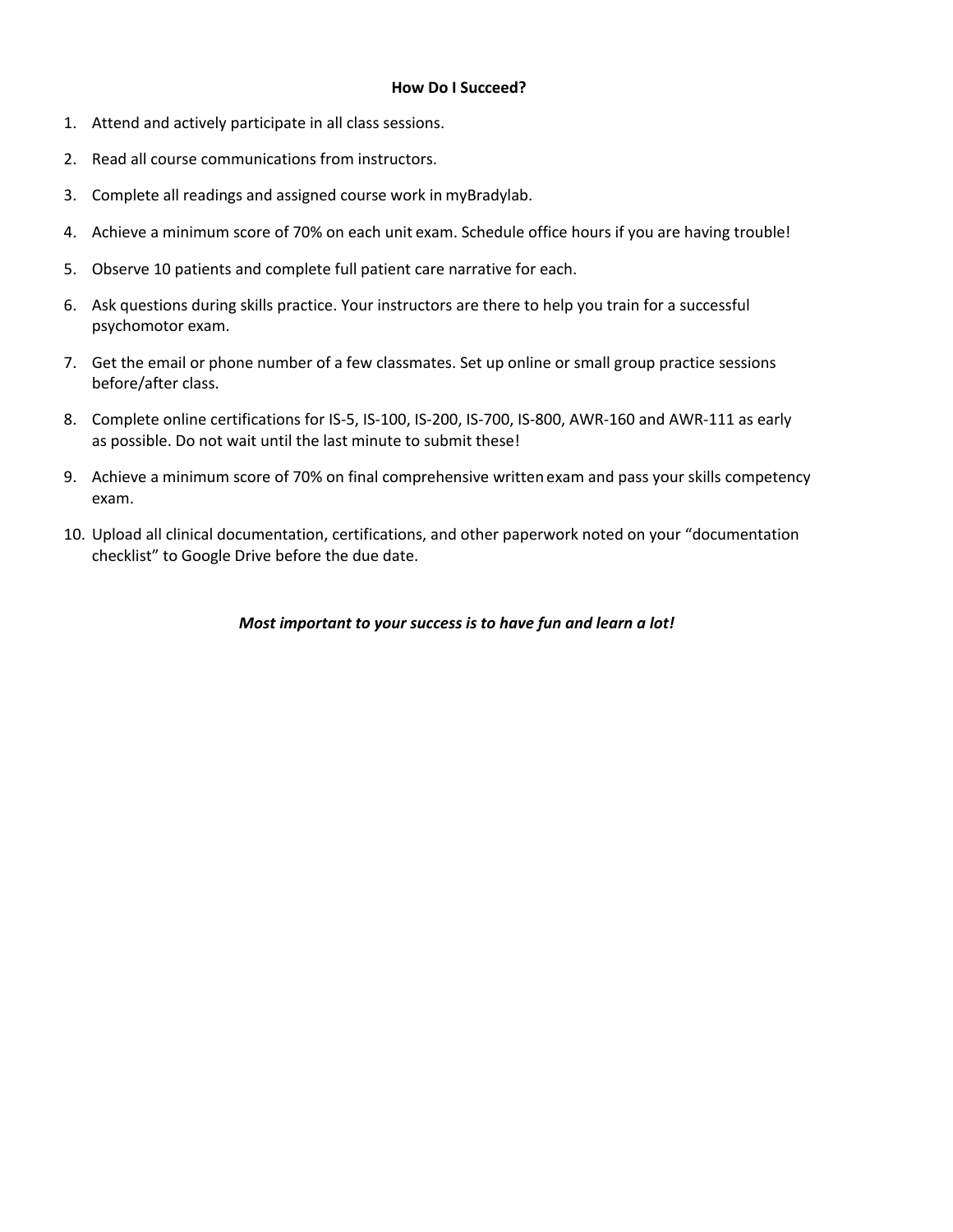#### **How Do I Succeed?**

- 1. Attend and actively participate in all class sessions.
- 2. Read all course communications from instructors.
- 3. Complete all readings and assigned course work in myBradylab.
- 4. Achieve a minimum score of 70% on each unit exam. Schedule office hours if you are having trouble!
- 5. Observe 10 patients and complete full patient care narrative for each.
- 6. Ask questions during skills practice. Your instructors are there to help you train for a successful psychomotor exam.
- 7. Get the email or phone number of a few classmates. Set up online or small group practice sessions before/after class.
- 8. Complete online certifications for IS-5, IS-100, IS-200, IS-700, IS-800, AWR-160 and AWR-111 as early as possible. Do not wait until the last minute to submit these!
- 9. Achieve a minimum score of 70% on final comprehensive written exam and pass your skills competency exam.
- 10. Upload all clinical documentation, certifications, and other paperwork noted on your "documentation checklist" to Google Drive before the due date.

*Most important to your success is to have fun and learn a lot!*